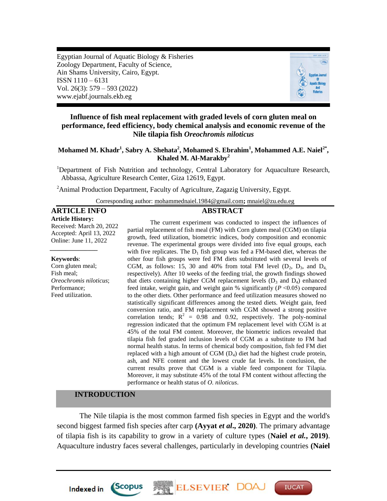Egyptian Journal of Aquatic Biology & Fisheries Zoology Department, Faculty of Science, Ain Shams University, Cairo, Egypt. ISSN 1110 – 6131 Vol. 26(3): 579 – 593 (2022) www.ejabf.journals.ekb.eg



## **Influence of fish meal replacement with graded levels of corn gluten meal on performance, feed efficiency, body chemical analysis and economic revenue of the Nile tilapia fish** *Oreochromis niloticus*

**Mohamed M. Khadr<sup>1</sup> , Sabry A. Shehata<sup>2</sup> , Mohamed S. Ebrahim<sup>1</sup> , Mohammed A.E. Naiel2\* , Khaled M. Al-Marakby<sup>2</sup>**

<sup>1</sup>Department of Fish Nutrition and technology, Central Laboratory for Aquaculture Research, Abbassa, Agriculture Research Center, Giza 12619, Egypt.

<sup>2</sup>Animal Production Department, Faculty of Agriculture, Zagazig University, Egypt.

Corresponding author: [mohammednaiel.1984@gmail.com](mailto:mohammednaiel.1984@gmail.com)**;** [mnaiel@zu.edu.eg](mailto:mnaiel@zu.edu.eg)

### **ARTICLE INFO ABSTRACT**

*\_\_\_\_\_\_\_\_\_\_\_\_\_\_\_*

**Article History:** Received: March 20, 2022 Accepted: April 13, 2022 Online: June 11, 2022

#### **Keywords**:

Corn gluten meal; Fish meal; *Oreochromis niloticus*; Performance; Feed utilization.

The current experiment was conducted to inspect the influences of partial replacement of fish meal (FM) with Corn gluten meal (CGM) on tilapia growth, feed utilization, biometric indices, body composition and economic revenue. The experimental groups were divided into five equal groups, each with five replicates. The  $D_1$  fish group was fed a FM-based diet, whereas the other four fish groups were fed FM diets substituted with several levels of CGM, as follows: 15, 30 and 40% from total FM level  $(D_2, D_3, D_4)$ respectively). After 10 weeks of the feeding trial, the growth findings showed that diets containing higher CGM replacement levels  $(D_3 \text{ and } D_4)$  enhanced feed intake, weight gain, and weight gain % significantly (*P* ˂0.05) compared to the other diets. Other performance and feed utilization measures showed no statistically significant differences among the tested diets. Weight gain, feed conversion ratio, and FM replacement with CGM showed a strong positive correlation tends;  $R^2 = 0.98$  and 0.92, respectively. The poly-nominal regression indicated that the optimum FM replacement level with CGM is at 45% of the total FM content. Moreover, the biometric indices revealed that tilapia fish fed graded inclusion levels of CGM as a substitute to FM had normal health status. In terms of chemical body composition, fish fed FM diet replaced with a high amount of CGM (D4) diet had the highest crude protein, ash, and NFE content and the lowest crude fat levels. In conclusion, the current results prove that CGM is a viable feed component for Tilapia. Moreover, it may substitute 45% of the total FM content without affecting the performance or health status of *O. niloticus*.

## **INTRODUCTION**

**Indexed in** 

*Scopus* 

The Nile tilapia is the most common farmed fish species in Egypt and the world's second biggest farmed fish species after carp **(Ayyat** *et al***., 2020)**. The primary advantage of tilapia fish is its capability to grow in a variety of culture types (**Naiel** *et al.***, 2019)**. Aquaculture industry faces several challenges, particularly in developing countries **(Naiel** 

**ELSEVIER DO** 

**IUCAT**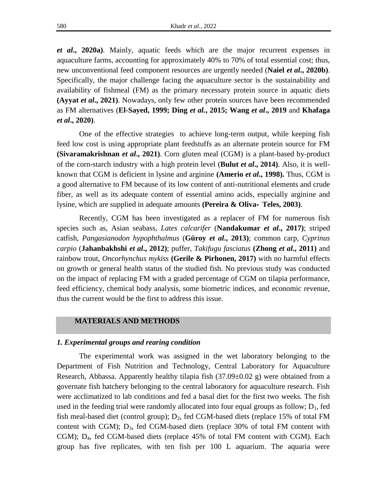*et al***., 2020a)**. Mainly, aquatic feeds which are the major recurrent expenses in aquaculture farms, accounting for approximately 40% to 70% of total essential cost; thus, new unconventional feed component resources are urgently needed (**Naiel** *et al***., 2020b)**. Specifically, the major challenge facing the aquaculture sector is the sustainability and availability of fishmeal (FM) as the primary necessary protein source in aquatic diets **(Ayyat** *et al***., 2021)**. Nowadays, only few other protein sources have been recommended as FM alternatives (**El-Sayed, 1999; Ding** *et al.***, 2015; Wang** *et al***., 2019** and **Khafaga**  *et al***., 2020)**.

One of the effective strategies to achieve long-term output, while keeping fish feed low cost is using appropriate plant feedstuffs as an alternate protein source for FM **(Sivaramakrishnan** *et al***., 2021)**. Corn gluten meal (CGM) is a plant-based by-product of the corn-starch industry with a high protein level (**Bulut** *et al***., 2014)**. Also, it is wellknown that CGM is deficient in lysine and arginine **(Amerio** *et al***., 1998).** Thus, CGM is a good alternative to FM because of its low content of anti-nutritional elements and crude fiber, as well as its adequate content of essential amino acids, especially arginine and lysine, which are supplied in adequate amounts **(Pereira & Oliva**‐ **Teles, 2003)**.

Recently, CGM has been investigated as a replacer of FM for numerous fish species such as, Asian seabass, *Lates calcarifer* (**Nandakumar** *et al***., 2017)**; striped catfish, *Pangasianodon hypophthalmus* (**Güroy** *et al***., 2013)**; common carp, *Cyprinus carpio* (**Jahanbakhshi** *et al***., 2012)**; puffer, *Takifugu fasciatus* **(Zhong** *et al***., 2011)** and rainbow trout, *Oncorhynchus mykiss* **(Gerile & Pirhonen, 2017)** with no harmful effects on growth or general health status of the studied fish. No previous study was conducted on the impact of replacing FM with a graded percentage of CGM on tilapia performance, feed efficiency, chemical body analysis, some biometric indices, and economic revenue, thus the current would be the first to address this issue.

## **MATERIALS AND METHODS**

## *1. Experimental groups and rearing condition*

The experimental work was assigned in the wet laboratory belonging to the Department of Fish Nutrition and Technology, Central Laboratory for Aquaculture Research, Abbassa. Apparently healthy tilapia fish  $(37.09\pm0.02 \text{ g})$  were obtained from a governate fish hatchery belonging to the central laboratory for aquaculture research. Fish were acclimatized to lab conditions and fed a basal diet for the first two weeks. The fish used in the feeding trial were randomly allocated into four equal groups as follow;  $D_1$ , fed fish meal-based diet (control group);  $D_2$ , fed CGM-based diets (replace 15% of total FM content with CGM);  $D_3$ , fed CGM-based diets (replace 30% of total FM content with CGM); D<sub>4</sub>, fed CGM-based diets (replace 45% of total FM content with CGM). Each group has five replicates, with ten fish per 100 L aquarium. The aquaria were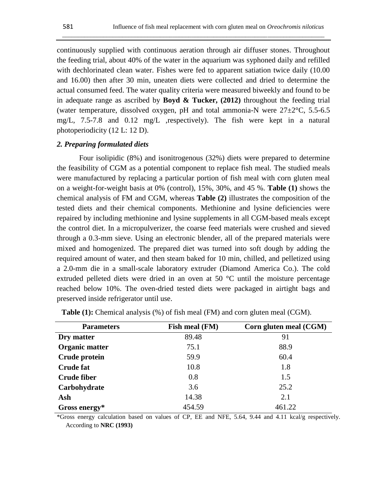continuously supplied with continuous aeration through air diffuser stones. Throughout the feeding trial, about 40% of the water in the aquarium was syphoned daily and refilled with dechlorinated clean water. Fishes were fed to apparent satiation twice daily (10.00 and 16.00) then after 30 min, uneaten diets were collected and dried to determine the actual consumed feed. The water quality criteria were measured biweekly and found to be in adequate range as ascribed by **Boyd & Tucker, (2012)** throughout the feeding trial (water temperature, dissolved oxygen, pH and total ammonia-N were  $27\pm2\degree C$ , 5.5-6.5 mg/L, 7.5-7.8 and 0.12 mg/L ,respectively). The fish were kept in a natural photoperiodicity (12 L: 12 D).

\_\_\_\_\_\_\_\_\_\_\_\_\_\_\_\_\_\_\_\_\_\_\_\_\_\_\_\_\_\_\_\_\_\_\_\_\_\_\_\_\_\_\_\_\_\_\_\_\_\_\_\_\_\_\_\_\_\_\_\_\_\_\_\_\_\_\_\_\_\_\_\_\_\_\_\_\_\_\_\_\_\_\_

## *2. Preparing formulated diets*

Four isolipidic (8%) and isonitrogenous (32%) diets were prepared to determine the feasibility of CGM as a potential component to replace fish meal. The studied meals were manufactured by replacing a particular portion of fish meal with corn gluten meal on a weight-for-weight basis at 0% (control), 15%, 30%, and 45 %. **Table (1)** shows the chemical analysis of FM and CGM, whereas **Table (2)** illustrates the composition of the tested diets and their chemical components. Methionine and lysine deficiencies were repaired by including methionine and lysine supplements in all CGM-based meals except the control diet. In a micropulverizer, the coarse feed materials were crushed and sieved through a 0.3-mm sieve. Using an electronic blender, all of the prepared materials were mixed and homogenized. The prepared diet was turned into soft dough by adding the required amount of water, and then steam baked for 10 min, chilled, and pelletized using a 2.0-mm die in a small-scale laboratory extruder (Diamond America Co.). The cold extruded pelleted diets were dried in an oven at 50 °C until the moisture percentage reached below 10%. The oven-dried tested diets were packaged in airtight bags and preserved inside refrigerator until use.

| <b>Parameters</b>  | Fish meal (FM) | Corn gluten meal (CGM) |
|--------------------|----------------|------------------------|
| Dry matter         | 89.48          | 91                     |
| Organic matter     | 75.1           | 88.9                   |
| Crude protein      | 59.9           | 60.4                   |
| <b>Crude fat</b>   | 10.8           | 1.8                    |
| <b>Crude fiber</b> | 0.8            | 1.5                    |
| Carbohydrate       | 3.6            | 25.2                   |
| Ash                | 14.38          | 2.1                    |
| Gross energy $*$   | 454.59         | 461.22                 |

| <b>Table (1):</b> Chemical analysis (%) of fish meal (FM) and corn gluten meal (CGM). |  |  |  |
|---------------------------------------------------------------------------------------|--|--|--|
|---------------------------------------------------------------------------------------|--|--|--|

\*Gross energy calculation based on values of CP, EE and NFE, 5.64, 9.44 and 4.11 kcal/g respectively. According to **NRC (1993)**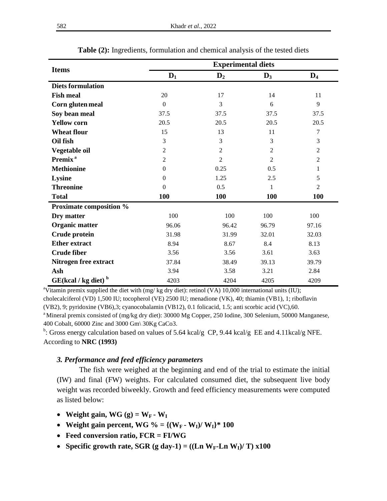|                                   | <b>Experimental diets</b> |                |                |                |  |  |  |
|-----------------------------------|---------------------------|----------------|----------------|----------------|--|--|--|
| <b>Items</b>                      | $D_1$                     | $\mathbf{D}_2$ | $\mathbf{D}_3$ | $\mathbf{D}_4$ |  |  |  |
| <b>Diets formulation</b>          |                           |                |                |                |  |  |  |
| <b>Fish meal</b>                  | 20                        | 17             | 14             | 11             |  |  |  |
| Corn gluten meal                  | $\Omega$                  | 3              | 6              | 9              |  |  |  |
| Soy bean meal                     | 37.5                      | 37.5           | 37.5           | 37.5           |  |  |  |
| <b>Yellow corn</b>                | 20.5                      | 20.5           | 20.5           | 20.5           |  |  |  |
| <b>Wheat flour</b>                | 15                        | 13             | 11             | 7              |  |  |  |
| Oil fish                          | 3                         | 3              | 3              | 3              |  |  |  |
| Vegetable oil                     | $\overline{2}$            | $\overline{2}$ | $\overline{2}$ | $\overline{c}$ |  |  |  |
| Premix <sup>a</sup>               | $\overline{c}$            | $\overline{2}$ | $\overline{2}$ | $\overline{2}$ |  |  |  |
| <b>Methionine</b>                 | $\mathbf{0}$              | 0.25           | 0.5            | 1              |  |  |  |
| Lysine                            | $\mathbf{0}$              | 1.25           | 2.5            | 5              |  |  |  |
| <b>Threonine</b>                  | $\Omega$                  | 0.5            | 1              | $\overline{c}$ |  |  |  |
| <b>Total</b>                      | <b>100</b>                | 100            | <b>100</b>     | 100            |  |  |  |
| <b>Proximate composition %</b>    |                           |                |                |                |  |  |  |
| Dry matter                        | 100                       | 100            | 100            | 100            |  |  |  |
| Organic matter                    | 96.06                     | 96.42          | 96.79          | 97.16          |  |  |  |
| Crude protein                     | 31.98                     | 31.99          | 32.01          | 32.03          |  |  |  |
| <b>Ether extract</b>              | 8.94                      | 8.67           | 8.4            | 8.13           |  |  |  |
| <b>Crude fiber</b>                | 3.56                      | 3.56           | 3.61           | 3.63           |  |  |  |
| Nitrogen free extract             | 37.84                     | 38.49          | 39.13          | 39.79          |  |  |  |
| Ash                               | 3.94                      | 3.58           | 3.21           | 2.84           |  |  |  |
| $GE(kcal / kg$ diet) <sup>b</sup> | 4203                      | 4204           | 4205           | 4209           |  |  |  |

**Table (2):** Ingredients, formulation and chemical analysis of the tested diets

<sup>a</sup>Vitamin premix supplied the diet with (mg/ kg dry diet): retinol (VA) 10,000 international units (IU); cholecalciferol (VD) 1,500 IU; tocopherol (VE) 2500 IU; menadione (VK), 40; thiamin (VB1), 1; riboflavin (VB2), 9; pyridoxine (VB6),3; cyanocobalamin (VB12), 0.1 folicacid, 1.5; anti scorbic acid (VC),60. <sup>a</sup> Mineral premix consisted of (mg/kg dry diet): 30000 Mg Copper, 250 Iodine, 300 Selenium, 50000 Manganese, 400 Cobalt, 60000 Zinc and 3000 Gm\ 30Kg CaCo3.

<sup>b</sup>: Gross energy calculation based on values of 5.64 kcal/g CP, 9.44 kcal/g EE and 4.11 kcal/g NFE. According to **NRC (1993)**

## *3. Performance and feed efficiency parameters*

The fish were weighed at the beginning and end of the trial to estimate the initial (IW) and final (FW) weights. For calculated consumed diet, the subsequent live body weight was recorded biweekly. Growth and feed efficiency measurements were computed as listed below:

- Weight gain, WG  $(g) = W_F W_I$
- Weight gain percent, WG  $\% = \{ (W_F W_I) / W_I \}^* 100$
- **Feed conversion ratio, FCR = FI/WG**
- Specific growth rate, SGR (g day-1) =  $((\text{Ln } W_F \text{Ln } W_I)/T) \times 100$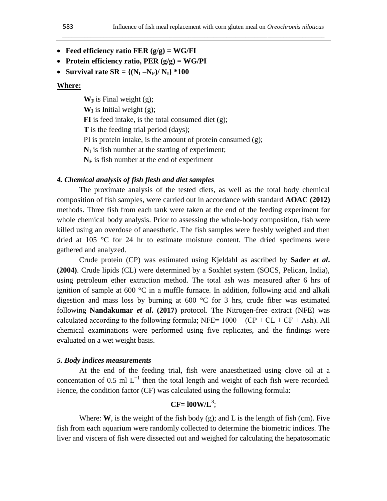\_\_\_\_\_\_\_\_\_\_\_\_\_\_\_\_\_\_\_\_\_\_\_\_\_\_\_\_\_\_\_\_\_\_\_\_\_\_\_\_\_\_\_\_\_\_\_\_\_\_\_\_\_\_\_\_\_\_\_\_\_\_\_\_\_\_\_\_\_\_\_\_\_\_\_\_\_\_\_\_\_\_\_

- **Feed efficiency ratio FER (g/g) = WG/FI**
- **Protein efficiency ratio, PER (g/g) = WG/PI**
- Survival rate  $SR = \{(N_I N_F)/N_I\}$  \*100

## **Where:**

 $W_F$  is Final weight (g);

 $W_I$  is Initial weight (g);

**FI** is feed intake, is the total consumed diet (g);

**T** is the feeding trial period (days);

PI is protein intake, is the amount of protein consumed (g);

 $N_I$  is fish number at the starting of experiment;

 $N_F$  is fish number at the end of experiment

## *4. Chemical analysis of fish flesh and diet samples*

The proximate analysis of the tested diets, as well as the total body chemical composition of fish samples, were carried out in accordance with standard **AOAC (2012)** methods. Three fish from each tank were taken at the end of the feeding experiment for whole chemical body analysis. Prior to assessing the whole-body composition, fish were killed using an overdose of anaesthetic. The fish samples were freshly weighed and then dried at 105 °C for 24 hr to estimate moisture content. The dried specimens were gathered and analyzed.

Crude protein (CP) was estimated using Kjeldahl as ascribed by **Sader** *et al***. (2004)**. Crude lipids (CL) were determined by a Soxhlet system (SOCS, Pelican, India), using petroleum ether extraction method. The total ash was measured after 6 hrs of ignition of sample at  $600 \degree C$  in a muffle furnace. In addition, following acid and alkali digestion and mass loss by burning at 600 °C for 3 hrs, crude fiber was estimated following **Nandakumar** *et al***. (2017)** protocol. The Nitrogen-free extract (NFE) was calculated according to the following formula; NFE=  $1000 - (CP + CL + CF + Ash)$ . All chemical examinations were performed using five replicates, and the findings were evaluated on a wet weight basis.

## *5. Body indices measurements*

At the end of the feeding trial, fish were anaesthetized using clove oil at a concentation of 0.5 ml  $L^{-1}$  then the total length and weight of each fish were recorded. Hence, the condition factor (CF) was calculated using the following formula:

# **CF= l00W/L<sup>3</sup>** ;

Where: **W**, is the weight of the fish body (g); and L is the length of fish (cm). Five fish from each aquarium were randomly collected to determine the biometric indices. The liver and viscera of fish were dissected out and weighed for calculating the hepatosomatic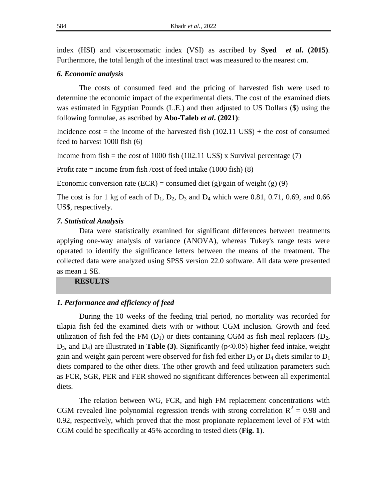index (HSI) and viscerosomatic index (VSI) as ascribed by **Syed** *et al***. (2015)**. Furthermore, the total length of the intestinal tract was measured to the nearest cm.

## *6. Economic analysis*

The costs of consumed feed and the pricing of harvested fish were used to determine the economic impact of the experimental diets. The cost of the examined diets was estimated in Egyptian Pounds (L.E.) and then adjusted to US Dollars (\$) using the following formulae, as ascribed by **Abo-Taleb** *et al***. (2021)**:

Incidence cost = the income of the harvested fish  $(102.11 \text{ US})$  + the cost of consumed feed to harvest 1000 fish (6)

Income from fish = the cost of 1000 fish (102.11 US\$) x Survival percentage (7)

Profit rate  $=$  income from fish /cost of feed intake (1000 fish) (8)

Economic conversion rate (ECR) = consumed diet (g)/gain of weight (g) (9)

The cost is for 1 kg of each of  $D_1$ ,  $D_2$ ,  $D_3$  and  $D_4$  which were 0.81, 0.71, 0.69, and 0.66 US\$, respectively.

## *7. Statistical Analysis*

Data were statistically examined for significant differences between treatments applying one-way analysis of variance (ANOVA), whereas Tukey's range tests were operated to identify the significance letters between the means of the treatment. The collected data were analyzed using SPSS version 22.0 software. All data were presented as mean  $\pm$  SE.

**RESULTS** 

## *1. Performance and efficiency of feed*

During the 10 weeks of the feeding trial period, no mortality was recorded for tilapia fish fed the examined diets with or without CGM inclusion. Growth and feed utilization of fish fed the FM  $(D_1)$  or diets containing CGM as fish meal replacers  $(D_2,$ D3, and D4) are illustrated in **Table (3)**. Significantly (p˂0.05) higher feed intake, weight gain and weight gain percent were observed for fish fed either  $D_3$  or  $D_4$  diets similar to  $D_1$ diets compared to the other diets. The other growth and feed utilization parameters such as FCR, SGR, PER and FER showed no significant differences between all experimental diets.

The relation between WG, FCR, and high FM replacement concentrations with CGM revealed line polynomial regression trends with strong correlation  $R^2 = 0.98$  and 0.92, respectively, which proved that the most propionate replacement level of FM with CGM could be specifically at 45% according to tested diets (**Fig. 1**).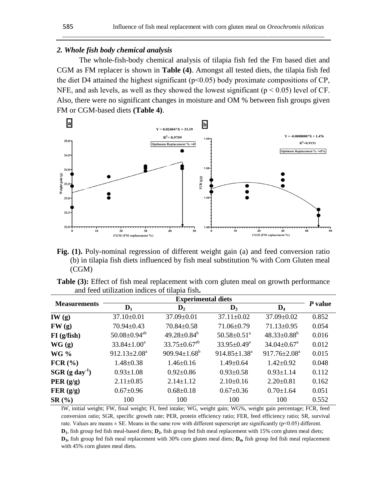## *2. Whole fish body chemical analysis*

The whole-fish-body chemical analysis of tilapia fish fed the Fm based diet and CGM as FM replacer is shown in **Table (4)**. Amongst all tested diets, the tilapia fish fed the diet D4 attained the highest significant (p˂0.05) body proximate compositions of CP, NFE, and ash levels, as well as they showed the lowest significant ( $p < 0.05$ ) level of CF. Also, there were no significant changes in moisture and OM % between fish groups given FM or CGM-based diets **(Table 4)**.

\_\_\_\_\_\_\_\_\_\_\_\_\_\_\_\_\_\_\_\_\_\_\_\_\_\_\_\_\_\_\_\_\_\_\_\_\_\_\_\_\_\_\_\_\_\_\_\_\_\_\_\_\_\_\_\_\_\_\_\_\_\_\_\_\_\_\_\_\_\_\_\_\_\_\_\_\_\_\_\_\_\_\_



**Fig. (1).** Poly-nominal regression of different weight gain (a) and feed conversion ratio (b) in tilapia fish diets influenced by fish meal substitution % with Corn Gluten meal (CGM)

|  |  | <b>Table (3):</b> Effect of fish meal replacement with corn gluten meal on growth performance |  |  |  |  |
|--|--|-----------------------------------------------------------------------------------------------|--|--|--|--|
|  |  | and feed utilization indices of tilapia fish.                                                 |  |  |  |  |

|                     | <b>Experimental diets</b>      |                                |                               |                               |         |  |  |
|---------------------|--------------------------------|--------------------------------|-------------------------------|-------------------------------|---------|--|--|
| <b>Measurements</b> | $\mathbf{D}_1$                 | $\mathbf{D}_2$                 | $\mathbf{D}_3$                | $\mathbf{D}_4$                | P value |  |  |
| IW(g)               | $37.10 \pm 0.01$               | 37.09±0.01                     | $37.11 \pm 0.02$              | $37.09 \pm 0.02$              | 0.852   |  |  |
| FW(g)               | $70.94 \pm 0.43$               | $70.84 \pm 0.58$               | $71.06 \pm 0.79$              | $71.13 \pm 0.95$              | 0.054   |  |  |
| $FI$ (g/fish)       | $50.08 \pm 0.94$ <sup>ab</sup> | $49.28 \pm 0.84^b$             | $50.58 \pm 0.51$ <sup>a</sup> | $48.33 \pm 0.88^b$            | 0.016   |  |  |
| WG(g)               | $33.84 \pm 1.00^a$             | $33.75 \pm 0.67$ <sup>ab</sup> | $33.95 \pm 0.49^a$            | $34.04 \pm 0.67$ <sup>a</sup> | 0.012   |  |  |
| <b>WG %</b>         | $912.13 \pm 2.08^a$            | $909.94 \pm 1.68^{\circ}$      | $914.85 \pm 1.38^a$           | $917.76 \pm 2.08^{\text{a}}$  | 0.015   |  |  |
| $FCR$ $(*)$         | $1.48 \pm 0.38$                | $1.46 \pm 0.16$                | $1.49 \pm 0.64$               | $1.42 \pm 0.92$               | 0.048   |  |  |
| $SGR (g day-1)$     | $0.93 \pm 1.08$                | $0.92 \pm 0.86$                | $0.93 \pm 0.58$               | $0.93 \pm 1.14$               | 0.112   |  |  |
| PER $(g/g)$         | $2.11 \pm 0.85$                | $2.14 \pm 1.12$                | $2.10\pm0.16$                 | $2.20 \pm 0.81$               | 0.162   |  |  |
| FER(g/g)            | $0.67 \pm 0.96$                | $0.68 \pm 0.18$                | $0.67 \pm 0.36$               | $0.70 \pm 1.64$               | 0.051   |  |  |
| SR(%)               | 100                            | 100                            | 100                           | 100                           | 0.552   |  |  |

IW, initial weight; FW, final weight; FI, feed intake; WG, weight gain; WG%, weight gain percentage; FCR, feed conversion ratio; SGR, specific growth rate; PER, protein efficiency ratio; FER, feed efficiency ratio; SR, survival rate. Values are means  $\pm$  SE. Means in the same row with different superscript are significantly (p $\leq$ 0.05) different. **D**<sub>1</sub>, fish group fed fish meal-based diets; **D**<sub>2</sub>, fish group fed fish meal replacement with 15% corn gluten meal diets; **D3 ,** fish group fed fish meal replacement with 30% corn gluten meal diets; **D<sup>4</sup> ,** fish group fed fish meal replacement with 45% corn gluten meal diets.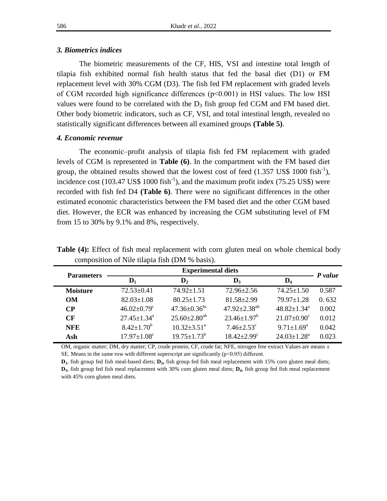## *3. Biometrics indices*

The biometric measurements of the CF, HIS, VSI and intestine total length of tilapia fish exhibited normal fish health status that fed the basal diet (D1) or FM replacement level with 30% CGM (D3). The fish fed FM replacement with graded levels of CGM recorded high significance differences (p˂0.001) in HSI values. The low HSI values were found to be correlated with the  $D_3$  fish group fed CGM and FM based diet. Other body biometric indicators, such as CF, VSI, and total intestinal length, revealed no statistically significant differences between all examined groups **(Table 5)**.

## *4. Economic revenue*

The economic–profit analysis of tilapia fish fed FM replacement with graded levels of CGM is represented in **Table (6)**. In the compartment with the FM based diet group, the obtained results showed that the lowest cost of feed  $(1.357 \text{ US}$ \$ 1000 fish<sup>-1</sup>), incidence cost  $(103.47 \text{ US}$ \$ 1000 fish<sup>-1</sup>), and the maximum profit index  $(75.25 \text{ US}$ \$) were recorded with fish fed D4 **(Table 6)**. There were no significant differences in the other estimated economic characteristics between the FM based diet and the other CGM based diet. However, the ECR was enhanced by increasing the CGM substituting level of FM from 15 to 30% by 9.1% and 8%, respectively.

| <b>Parameters</b> |                               | <b>Experimental diets</b>      |                               |                               | P value |
|-------------------|-------------------------------|--------------------------------|-------------------------------|-------------------------------|---------|
|                   | $\mathbf{D}_1$                | $\mathbf{D}_2$                 | $\mathbf{D}_3$                | $\mathbf{D}_4$                |         |
| <b>Moisture</b>   | $72.53 \pm 0.41$              | $74.92 \pm 1.51$               | $72.96 \pm 2.56$              | $74.25 \pm 1.50$              | 0.587   |
| <b>OM</b>         | $82.03 \pm 1.08$              | $80.25 \pm 1.73$               | $81.58 \pm 2.99$              | $79.97 \pm 1.28$              | 0.632   |
| $\bf CP$          | $46.02 \pm 0.79$ <sup>c</sup> | $47.36 \pm 0.36$ <sup>bc</sup> | $47.92 \pm 2.38^{ab}$         | $48.82 \pm 1.34$ <sup>a</sup> | 0.002   |
| CF                | $27.45 \pm 1.34^{\circ}$      | $25.60 \pm 2.80^{ab}$          | $23.46 \pm 1.97^b$            | $21.07 \pm 0.90$ <sup>c</sup> | 0.012   |
| <b>NFE</b>        | $8.42 \pm 1.70^b$             | $10.32 \pm 3.51$ <sup>a</sup>  | $7.46 \pm 2.53$ <sup>c</sup>  | $9.71 \pm 1.69^{\text{a}}$    | 0.042   |
| Ash               | $17.97 \pm 1.08$ <sup>c</sup> | $19.75 \pm 1.73^b$             | $18.42 \pm 2.99$ <sup>c</sup> | $24.03 \pm 1.28^a$            | 0.023   |

Table (4): Effect of fish meal replacement with corn gluten meal on whole chemical body composition of Nile tilapia fish (DM % basis).

OM, organic matter; DM, dry matter; CP, crude protein; CF, crude fat; NFE, nitrogen free extract Values are means  $\pm$ SE. Means in the same row with different superscript are significantly (p˂0.05) different.

**D1** , fish group fed fish meal-based diets; **D<sup>2</sup> ,** fish group fed fish meal replacement with 15% corn gluten meal diets; **D3** , fish group fed fish meal replacement with 30% corn gluten meal diets; **D<sup>4</sup>** , fish group fed fish meal replacement with 45% corn gluten meal diets.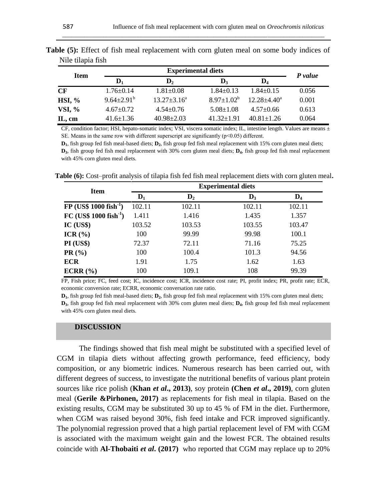| <b>Item</b>   |                              | <b>Experimental diets</b> |                   |                    |         |  |  |  |
|---------------|------------------------------|---------------------------|-------------------|--------------------|---------|--|--|--|
|               | $\mathbf{D}_1$               | $\mathbf{D}_2$            | $\mathbf{D}_3$    | $\mathbf{D}_4$     | P value |  |  |  |
| CF            | $1.76 \pm 0.14$              | $1.81 \pm 0.08$           | $1.84 \pm 0.13$   | $1.84 + 0.15$      | 0.056   |  |  |  |
| $HSI, \%$     | $9.64 \pm 2.91^{\mathrm{b}}$ | $13.27 \pm 3.16^a$        | $8.97 \pm 1.02^b$ | $12.28 \pm 4.40^a$ | 0.001   |  |  |  |
| <b>VSI, %</b> | $4.67 \pm 0.72$              | $4.54 \pm 0.76$           | $5.08 \pm 1.08$   | $4.57 \pm 0.66$    | 0.613   |  |  |  |
| IL, cm        | $41.6 \pm 1.36$              | $40.98 \pm 2.03$          | $41.32 + 1.91$    | $40.81 + 1.26$     | 0.064   |  |  |  |

| <b>Table (5):</b> Effect of fish meal replacement with corn gluten meal on some body indices of |  |  |  |  |  |  |
|-------------------------------------------------------------------------------------------------|--|--|--|--|--|--|
| Nile tilapia fish                                                                               |  |  |  |  |  |  |

\_\_\_\_\_\_\_\_\_\_\_\_\_\_\_\_\_\_\_\_\_\_\_\_\_\_\_\_\_\_\_\_\_\_\_\_\_\_\_\_\_\_\_\_\_\_\_\_\_\_\_\_\_\_\_\_\_\_\_\_\_\_\_\_\_\_\_\_\_\_\_\_\_\_\_\_\_\_\_\_\_\_\_

CF, condition factor; HSI, hepato-somatic index; VSI, viscera somatic index; IL, intestine length. Values are means  $\pm$ SE. Means in the same row with different superscript are significantly (p˂0.05) different.

**D**<sub>1</sub>, fish group fed fish meal-based diets; **D**<sub>2</sub>, fish group fed fish meal replacement with 15% corn gluten meal diets; **D3** , fish group fed fish meal replacement with 30% corn gluten meal diets; **D<sup>4</sup>** , fish group fed fish meal replacement with 45% corn gluten meal diets.

**Table (6):** Cost–profit analysis of tilapia fish fed fish meal replacement diets with corn gluten meal**.**

| <b>Item</b>                          | <b>Experimental diets</b> |                |                |        |  |  |  |
|--------------------------------------|---------------------------|----------------|----------------|--------|--|--|--|
|                                      | $D_1$                     | $\mathbf{D}_2$ | $\mathbf{D}_3$ | $D_4$  |  |  |  |
| $FP$ (US\$ 1000 fish <sup>-1</sup> ) | 102.11                    | 102.11         | 102.11         | 102.11 |  |  |  |
| $FC (US$ 1000 fish-1)$               | 1.411                     | 1.416          | 1.435          | 1.357  |  |  |  |
| $IC$ $(US$)$                         | 103.52                    | 103.53         | 103.55         | 103.47 |  |  |  |
| ICR $(\% )$                          | 100                       | 99.99          | 99.98          | 100.1  |  |  |  |
| PI (US\$)                            | 72.37                     | 72.11          | 71.16          | 75.25  |  |  |  |
| PR(%)                                | 100                       | 100.4          | 101.3          | 94.56  |  |  |  |
| <b>ECR</b>                           | 1.91                      | 1.75           | 1.62           | 1.63   |  |  |  |
| ECRR (%)                             | 100                       | 109.1          | 108            | 99.39  |  |  |  |

FP, Fish price; FC, feed cost; IC, incidence cost; ICR, incidence cost rate; PI, profit index; PR, profit rate; ECR, economic conversion rate; ECRR, economic conversation rate ratio.

**D**<sub>1</sub>, fish group fed fish meal-based diets; **D**<sub>2</sub>, fish group fed fish meal replacement with 15% corn gluten meal diets; **D3** , fish group fed fish meal replacement with 30% corn gluten meal diets; **D<sup>4</sup>** , fish group fed fish meal replacement with 45% corn gluten meal diets.

#### **DISCUSSION**

The findings showed that fish meal might be substituted with a specified level of CGM in tilapia diets without affecting growth performance, feed efficiency, body composition, or any biometric indices. Numerous research has been carried out, with different degrees of success, to investigate the nutritional benefits of various plant protein sources like rice polish (**Khan** *et al***., 2013)**, soy protein **(Chen** *et al***., 2019)**, corn gluten meal (**Gerile &Pirhonen, 2017)** as replacements for fish meal in tilapia. Based on the existing results, CGM may be substituted 30 up to 45 % of FM in the diet. Furthermore, when CGM was raised beyond 30%, fish feed intake and FCR improved significantly. The polynomial regression proved that a high partial replacement level of FM with CGM is associated with the maximum weight gain and the lowest FCR. The obtained results coincide with **Al-Thobaiti** *et al***. (2017)** who reported that CGM may replace up to 20%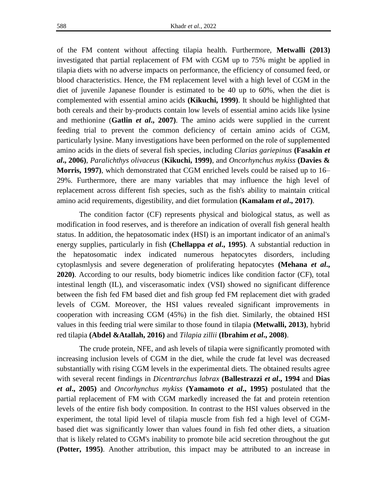of the FM content without affecting tilapia health. Furthermore, **Metwalli (2013)**  investigated that partial replacement of FM with CGM up to 75% might be applied in tilapia diets with no adverse impacts on performance, the efficiency of consumed feed, or blood characteristics. Hence, the FM replacement level with a high level of CGM in the diet of juvenile Japanese flounder is estimated to be 40 up to 60%, when the diet is complemented with essential amino acids **(Kikuchi, 1999)**. It should be highlighted that both cereals and their by-products contain low levels of essential amino acids like lysine and methionine (**Gatlin** *et al***., 2007)**. The amino acids were supplied in the current feeding trial to prevent the common deficiency of certain amino acids of CGM, particularly lysine. Many investigations have been performed on the role of supplemented amino acids in the diets of several fish species, including *Clarias gariepinus* **(Fasakin** *et al***., 2006)**, *Paralichthys olivaceus* (**Kikuchi, 1999)**, and *Oncorhynchus mykiss* **(Davies & Morris, 1997)**, which demonstrated that CGM enriched levels could be raised up to 16– 29%. Furthermore, there are many variables that may influence the high level of replacement across different fish species, such as the fish's ability to maintain critical amino acid requirements, digestibility, and diet formulation **(Kamalam** *et al***., 2017)**.

The condition factor (CF) represents physical and biological status, as well as modification in food reserves, and is therefore an indication of overall fish general health status. In addition, the hepatosomatic index (HSI) is an important indicator of an animal's energy supplies, particularly in fish **(Chellappa** *et al***., 1995)**. A substantial reduction in the hepatosomatic index indicated numerous hepatocytes disorders, including cytoplasmlysis and severe degeneration of proliferating hepatocytes **(Mehana** *et al***., 2020)**. According to our results, body biometric indices like condition factor (CF), total intestinal length (IL), and viscerasomatic index (VSI) showed no significant difference between the fish fed FM based diet and fish group fed FM replacement diet with graded levels of CGM. Moreover, the HSI values revealed significant improvements in cooperation with increasing CGM (45%) in the fish diet. Similarly, the obtained HSI values in this feeding trial were similar to those found in tilapia **(Metwalli, 2013)**, hybrid red tilapia **(Abdel &Atallah, 2016)** and *Tilapia zillii* **(Ibrahim** *et al***., 2008)**.

The crude protein, NFE, and ash levels of tilapia were significantly promoted with increasing inclusion levels of CGM in the diet, while the crude fat level was decreased substantially with rising CGM levels in the experimental diets. The obtained results agree with several recent findings in *Dicentrarchus labrax* **(Ballestrazzi** *et al***., 1994** and **Dias**  *et al***., 2005)** and *Oncorhynchus mykiss* **(Yamamoto** *et al***., 1995)** postulated that the partial replacement of FM with CGM markedly increased the fat and protein retention levels of the entire fish body composition. In contrast to the HSI values observed in the experiment, the total lipid level of tilapia muscle from fish fed a high level of CGMbased diet was significantly lower than values found in fish fed other diets, a situation that is likely related to CGM's inability to promote bile acid secretion throughout the gut **(Potter, 1995)**. Another attribution, this impact may be attributed to an increase in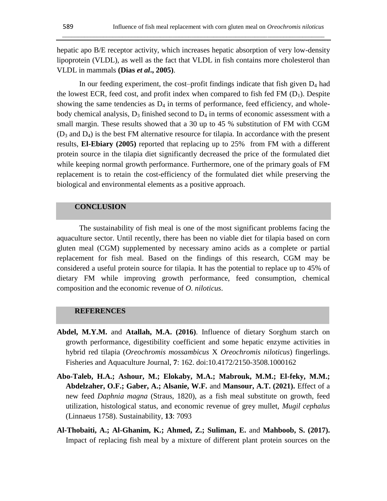hepatic apo B/E receptor activity, which increases hepatic absorption of very low-density lipoprotein (VLDL), as well as the fact that VLDL in fish contains more cholesterol than VLDL in mammals **(Dias** *et al***., 2005)**.

\_\_\_\_\_\_\_\_\_\_\_\_\_\_\_\_\_\_\_\_\_\_\_\_\_\_\_\_\_\_\_\_\_\_\_\_\_\_\_\_\_\_\_\_\_\_\_\_\_\_\_\_\_\_\_\_\_\_\_\_\_\_\_\_\_\_\_\_\_\_\_\_\_\_\_\_\_\_\_\_\_\_\_

In our feeding experiment, the cost–profit findings indicate that fish given  $D_4$  had the lowest ECR, feed cost, and profit index when compared to fish fed FM  $(D_1)$ . Despite showing the same tendencies as  $D_4$  in terms of performance, feed efficiency, and wholebody chemical analysis,  $D_3$  finished second to  $D_4$  in terms of economic assessment with a small margin. These results showed that a 30 up to 45 % substitution of FM with CGM  $(D_3$  and  $D_4$ ) is the best FM alternative resource for tilapia. In accordance with the present results, **El-Ebiary (2005)** reported that replacing up to 25% from FM with a different protein source in the tilapia diet significantly decreased the price of the formulated diet while keeping normal growth performance. Furthermore, one of the primary goals of FM replacement is to retain the cost-efficiency of the formulated diet while preserving the biological and environmental elements as a positive approach.

## **CONCLUSION**

The sustainability of fish meal is one of the most significant problems facing the aquaculture sector. Until recently, there has been no viable diet for tilapia based on corn gluten meal (CGM) supplemented by necessary amino acids as a complete or partial replacement for fish meal. Based on the findings of this research, CGM may be considered a useful protein source for tilapia. It has the potential to replace up to 45% of dietary FM while improving growth performance, feed consumption, chemical composition and the economic revenue of *O. niloticus*.

## **REFERENCES**

- **Abdel, M.Y.M.** and **Atallah, M.A. (2016)**. Influence of dietary Sorghum starch on growth performance, digestibility coefficient and some hepatic enzyme activities in hybrid red tilapia (*Oreochromis mossambicus* X *Oreochromis niloticus*) fingerlings. Fisheries and Aquaculture Journal, **7**: 162. doi:10.4172/2150-3508.1000162
- **Abo-Taleb, H.A.; Ashour, M.; Elokaby, M.A.; Mabrouk, M.M.; El-feky, M.M.; Abdelzaher, O.F.; Gaber, A.; Alsanie, W.F.** and **Mansour, A.T. (2021).** Effect of a new feed *Daphnia magna* (Straus, 1820), as a fish meal substitute on growth, feed utilization, histological status, and economic revenue of grey mullet, *Mugil cephalus* (Linnaeus 1758). Sustainability, **13**: 7093
- **Al-Thobaiti, A.; Al-Ghanim, K.; Ahmed, Z.; Suliman, E.** and **Mahboob, S. (2017).** Impact of replacing fish meal by a mixture of different plant protein sources on the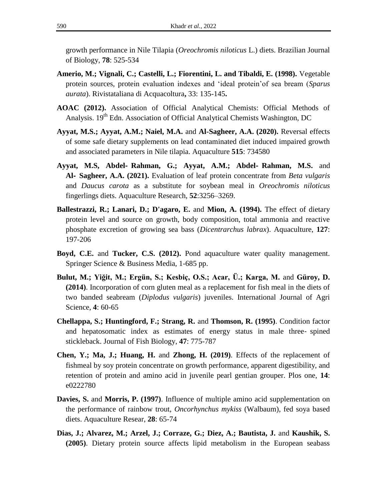growth performance in Nile Tilapia (*Oreochromis niloticus* L.) diets. Brazilian Journal of Biology, **78**: 525-534

- **Amerio, M.; Vignali, C.; Castelli, L.; Fiorentini, L. and Tibaldi, E. (1998).** Vegetable protein sources, protein evaluation indexes and 'ideal protein'of sea bream (*Sparus aurata*). Rivistataliana di Acquacoltura**,** 33: 135-145**.**
- **AOAC (2012).** Association of Official Analytical Chemists: Official Methods of Analysis. 19<sup>th</sup> Edn. Association of Official Analytical Chemists Washington, DC
- **Ayyat, M.S.; Ayyat, A.M.; Naiel, M.A.** and **Al-Sagheer, A.A. (2020).** Reversal effects of some safe dietary supplements on lead contaminated diet induced impaired growth and associated parameters in Nile tilapia. Aquaculture **515**: 734580
- **Ayyat, M.S, Abdel**‐ **Rahman, G.; Ayyat, A.M.; Abdel**‐ **Rahman, M.S.** and **Al**‐ **Sagheer, A.A. (2021).** Evaluation of leaf protein concentrate from *Beta vulgaris* and *Daucus carota* as a substitute for soybean meal in *Oreochromis niloticus* fingerlings diets. Aquaculture Research, **52**:3256–3269.
- **Ballestrazzi, R.; Lanari, D.; D'agaro, E.** and **Mion, A. (1994).** The effect of dietary protein level and source on growth, body composition, total ammonia and reactive phosphate excretion of growing sea bass (*Dicentrarchus labrax*). Aquaculture, **127**: 197-206
- **Boyd, C.E.** and **Tucker, C.S. (2012).** Pond aquaculture water quality management. Springer Science & Business Media, 1-685 pp.
- **Bulut, M.; Yiğit, M.; Ergün, S.; Kesbiç, O.S.; Acar, Ü.; Karga, M.** and **Güroy, D. (2014)**. Incorporation of corn gluten meal as a replacement for fish meal in the diets of two banded seabream (*Diplodus vulgaris*) juveniles. International Journal of Agri Science, **4**: 60-65
- **Chellappa, S.; Huntingford, F.; Strang, R.** and **Thomson, R. (1995)**. Condition factor and hepatosomatic index as estimates of energy status in male three‐ spined stickleback. Journal of Fish Biology, **47**: 775-787
- **Chen, Y.; Ma, J.; Huang, H.** and **Zhong, H. (2019)**. Effects of the replacement of fishmeal by soy protein concentrate on growth performance, apparent digestibility, and retention of protein and amino acid in juvenile pearl gentian grouper. Plos one, **14**: e0222780
- **Davies, S.** and **Morris, P. (1997)**. Influence of multiple amino acid supplementation on the performance of rainbow trout, *Oncorhynchus mykiss* (Walbaum), fed soya based diets. Aquaculture Resear, **28**: 65-74
- **Dias, J.; Alvarez, M.; Arzel, J.; Corraze, G.; Diez, A.; Bautista, J.** and **Kaushik, S. (2005)**. Dietary protein source affects lipid metabolism in the European seabass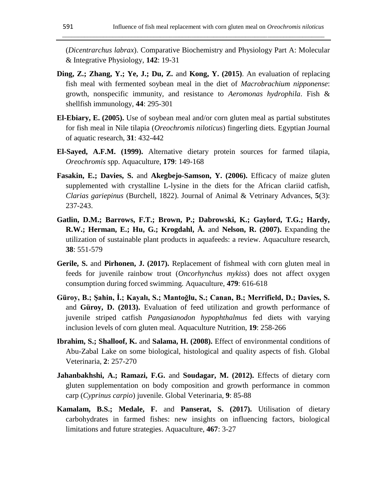(*Dicentrarchus labrax*). Comparative Biochemistry and Physiology Part A: Molecular & Integrative Physiology, **142**: 19-31

\_\_\_\_\_\_\_\_\_\_\_\_\_\_\_\_\_\_\_\_\_\_\_\_\_\_\_\_\_\_\_\_\_\_\_\_\_\_\_\_\_\_\_\_\_\_\_\_\_\_\_\_\_\_\_\_\_\_\_\_\_\_\_\_\_\_\_\_\_\_\_\_\_\_\_\_\_\_\_\_\_\_\_

- **Ding, Z.; Zhang, Y.; Ye, J.; Du, Z.** and **Kong, Y. (2015)**. An evaluation of replacing fish meal with fermented soybean meal in the diet of *Macrobrachium nipponense*: growth, nonspecific immunity, and resistance to *Aeromonas hydrophila*. Fish & shellfish immunology, **44**: 295-301
- **El-Ebiary, E. (2005).** Use of soybean meal and/or corn gluten meal as partial substitutes for fish meal in Nile tilapia (*Oreochromis niloticus*) fingerling diets. Egyptian Journal of aquatic research, **31**: 432-442
- **El-Sayed, A.F.M. (1999).** Alternative dietary protein sources for farmed tilapia, *Oreochromis* spp. Aquaculture, **179**: 149-168
- **Fasakin, E.; Davies, S.** and **Akegbejo-Samson, Y. (2006).** Efficacy of maize gluten supplemented with crystalline L-lysine in the diets for the African clariid catfish, *Clarias gariepinus* (Burchell, 1822). Journal of Animal & Vetrinary Advances, **5**(3): 237-243.
- **Gatlin, D.M.; Barrows, F.T.; Brown, P.; Dabrowski, K.; Gaylord, T.G.; Hardy, R.W.; Herman, E.; Hu, G.; Krogdahl, Å.** and **Nelson, R. (2007).** Expanding the utilization of sustainable plant products in aquafeeds: a review. Aquaculture research, **38**: 551-579
- **Gerile, S.** and **Pirhonen, J. (2017).** Replacement of fishmeal with corn gluten meal in feeds for juvenile rainbow trout (*Oncorhynchus mykiss*) does not affect oxygen consumption during forced swimming. Aquaculture, **479**: 616-618
- **Güroy, B.; Şahin, İ.; Kayalı, S.; Mantoğlu, S.; Canan, B.; Merrifield, D.; Davies, S.**  and **Güroy, D. (2013).** Evaluation of feed utilization and growth performance of juvenile striped catfish *Pangasianodon hypophthalmus* fed diets with varying inclusion levels of corn gluten meal. Aquaculture Nutrition, **19**: 258-266
- **Ibrahim, S.; Shalloof, K.** and **Salama, H. (2008).** Effect of environmental conditions of Abu-Zabal Lake on some biological, histological and quality aspects of fish. Global Veterinaria, **2**: 257-270
- **Jahanbakhshi, A.; Ramazi, F.G.** and **Soudagar, M. (2012).** Effects of dietary corn gluten supplementation on body composition and growth performance in common carp (*Cyprinus carpio*) juvenile. Global Veterinaria, **9**: 85-88
- **Kamalam, B.S.; Medale, F.** and **Panserat, S. (2017).** Utilisation of dietary carbohydrates in farmed fishes: new insights on influencing factors, biological limitations and future strategies. Aquaculture, **467**: 3-27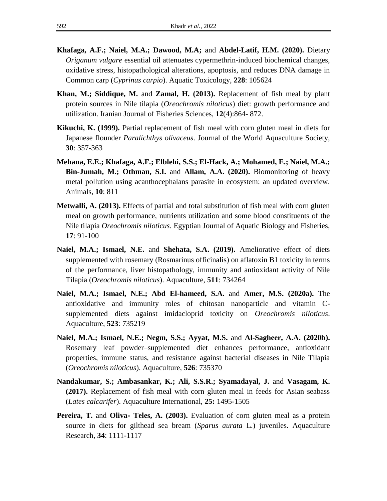- **Khafaga, A.F.; Naiel, M.A.; Dawood, M.A;** and **Abdel-Latif, H.M. (2020).** Dietary *Origanum vulgare* essential oil attenuates cypermethrin-induced biochemical changes, oxidative stress, histopathological alterations, apoptosis, and reduces DNA damage in Common carp (*Cyprinus carpio*). Aquatic Toxicology, **228**: 105624
- **Khan, M.; Siddique, M.** and **Zamal, H. (2013).** Replacement of fish meal by plant protein sources in Nile tilapia (*Oreochromis niloticus*) diet: growth performance and utilization. Iranian Journal of Fisheries Sciences, **12**(4):864- 872.
- **Kikuchi, K. (1999).** Partial replacement of fish meal with corn gluten meal in diets for Japanese flounder *Paralichthys olivaceus*. Journal of the World Aquaculture Society, **30**: 357-363
- **Mehana, E.E.; Khafaga, A.F.; Elblehi, S.S.; El-Hack, A.; Mohamed, E.; Naiel, M.A.; Bin-Jumah, M.; Othman, S.I.** and **Allam, A.A. (2020).** Biomonitoring of heavy metal pollution using acanthocephalans parasite in ecosystem: an updated overview. Animals, **10**: 811
- **Metwalli, A. (2013).** Effects of partial and total substitution of fish meal with corn gluten meal on growth performance, nutrients utilization and some blood constituents of the Nile tilapia *Oreochromis niloticus*. Egyptian Journal of Aquatic Biology and Fisheries, **17**: 91-100
- **Naiel, M.A.; Ismael, N.E.** and **Shehata, S.A. (2019).** Ameliorative effect of diets supplemented with rosemary (Rosmarinus officinalis) on aflatoxin B1 toxicity in terms of the performance, liver histopathology, immunity and antioxidant activity of Nile Tilapia (*Oreochromis niloticus*). Aquaculture, **511**: 734264
- **Naiel, M.A.; Ismael, N.E.; Abd El-hameed, S.A.** and **Amer, M.S. (2020a).** The antioxidative and immunity roles of chitosan nanoparticle and vitamin Csupplemented diets against imidacloprid toxicity on *Oreochromis niloticus*. Aquaculture, **523**: 735219
- **Naiel, M.A.; Ismael, N.E.; Negm, S.S.; Ayyat, M.S.** and **Al-Sagheer, A.A. (2020b).**  Rosemary leaf powder–supplemented diet enhances performance, antioxidant properties, immune status, and resistance against bacterial diseases in Nile Tilapia (*Oreochromis niloticus*). Aquaculture, **526**: 735370
- **Nandakumar, S.; Ambasankar, K.; Ali, S.S.R.; Syamadayal, J.** and **Vasagam, K. (2017).** Replacement of fish meal with corn gluten meal in feeds for Asian seabass (*Lates calcarifer*). Aquaculture International, **25:** 1495-1505
- **Pereira, T.** and **Oliva- Teles, A. (2003).** Evaluation of corn gluten meal as a protein source in diets for gilthead sea bream (*Sparus aurata* L.) juveniles. Aquaculture Research, **34**: 1111-1117